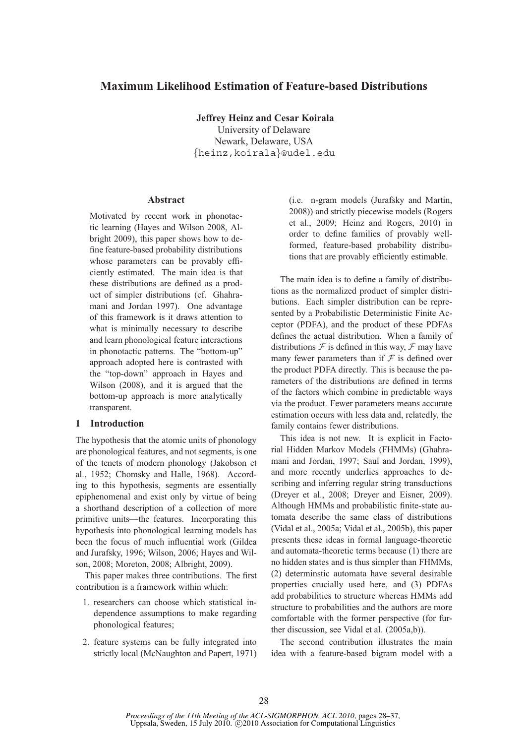# **Maximum Likelihood Estimation of Feature-based Distributions**

**Jeffrey Heinz and Cesar Koirala**

University of Delaware Newark, Delaware, USA {heinz,koirala}@udel.edu

#### **Abstract**

Motivated by recent work in phonotactic learning (Hayes and Wilson 2008, Albright 2009), this paper shows how to define feature-based probability distributions whose parameters can be provably efficiently estimated. The main idea is that these distributions are defined as a product of simpler distributions (cf. Ghahramani and Jordan 1997). One advantage of this framework is it draws attention to what is minimally necessary to describe and learn phonological feature interactions in phonotactic patterns. The "bottom-up" approach adopted here is contrasted with the "top-down" approach in Hayes and Wilson (2008), and it is argued that the bottom-up approach is more analytically transparent.

## **1 Introduction**

The hypothesis that the atomic units of phonology are phonological features, and not segments, is one of the tenets of modern phonology (Jakobson et al., 1952; Chomsky and Halle, 1968). According to this hypothesis, segments are essentially epiphenomenal and exist only by virtue of being a shorthand description of a collection of more primitive units—the features. Incorporating this hypothesis into phonological learning models has been the focus of much influential work (Gildea and Jurafsky, 1996; Wilson, 2006; Hayes and Wilson, 2008; Moreton, 2008; Albright, 2009).

This paper makes three contributions. The first contribution is a framework within which:

- 1. researchers can choose which statistical independence assumptions to make regarding phonological features;
- 2. feature systems can be fully integrated into strictly local (McNaughton and Papert, 1971)

(i.e. n-gram models (Jurafsky and Martin, 2008)) and strictly piecewise models (Rogers et al., 2009; Heinz and Rogers, 2010) in order to define families of provably wellformed, feature-based probability distributions that are provably efficiently estimable.

The main idea is to define a family of distributions as the normalized product of simpler distributions. Each simpler distribution can be represented by a Probabilistic Deterministic Finite Acceptor (PDFA), and the product of these PDFAs defines the actual distribution. When a family of distributions  $\mathcal F$  is defined in this way,  $\mathcal F$  may have many fewer parameters than if  $F$  is defined over the product PDFA directly. This is because the parameters of the distributions are defined in terms of the factors which combine in predictable ways via the product. Fewer parameters means accurate estimation occurs with less data and, relatedly, the family contains fewer distributions.

This idea is not new. It is explicit in Factorial Hidden Markov Models (FHMMs) (Ghahramani and Jordan, 1997; Saul and Jordan, 1999), and more recently underlies approaches to describing and inferring regular string transductions (Dreyer et al., 2008; Dreyer and Eisner, 2009). Although HMMs and probabilistic finite-state automata describe the same class of distributions (Vidal et al., 2005a; Vidal et al., 2005b), this paper presents these ideas in formal language-theoretic and automata-theoretic terms because (1) there are no hidden states and is thus simpler than FHMMs, (2) determinstic automata have several desirable properties crucially used here, and (3) PDFAs add probabilities to structure whereas HMMs add structure to probabilities and the authors are more comfortable with the former perspective (for further discussion, see Vidal et al. (2005a,b)).

The second contribution illustrates the main idea with a feature-based bigram model with a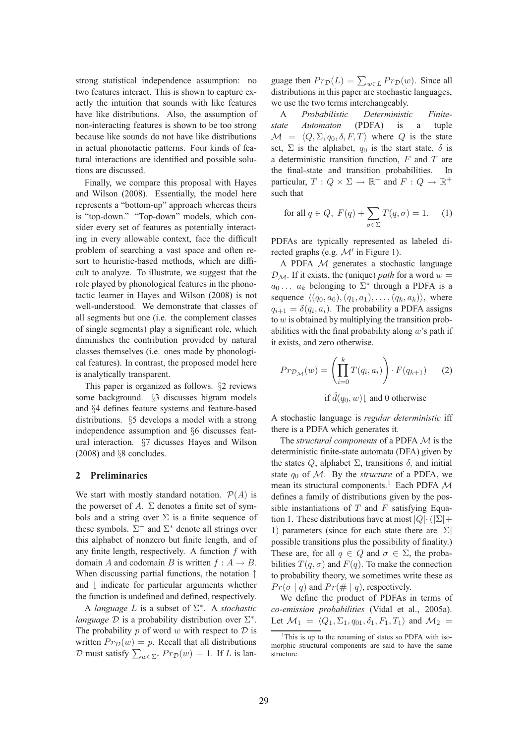strong statistical independence assumption: no two features interact. This is shown to capture exactly the intuition that sounds with like features have like distributions. Also, the assumption of non-interacting features is shown to be too strong because like sounds do not have like distributions in actual phonotactic patterns. Four kinds of featural interactions are identified and possible solutions are discussed.

Finally, we compare this proposal with Hayes and Wilson (2008). Essentially, the model here represents a "bottom-up" approach whereas theirs is "top-down." "Top-down" models, which consider every set of features as potentially interacting in every allowable context, face the difficult problem of searching a vast space and often resort to heuristic-based methods, which are difficult to analyze. To illustrate, we suggest that the role played by phonological features in the phonotactic learner in Hayes and Wilson (2008) is not well-understood. We demonstrate that classes of all segments but one (i.e. the complement classes of single segments) play a significant role, which diminishes the contribution provided by natural classes themselves (i.e. ones made by phonological features). In contrast, the proposed model here is analytically transparent.

This paper is organized as follows. §2 reviews some background. §3 discusses bigram models and §4 defines feature systems and feature-based distributions. §5 develops a model with a strong independence assumption and §6 discusses featural interaction. §7 dicusses Hayes and Wilson (2008) and §8 concludes.

### **2 Preliminaries**

We start with mostly standard notation.  $P(A)$  is the powerset of A.  $\Sigma$  denotes a finite set of symbols and a string over  $\Sigma$  is a finite sequence of these symbols.  $\Sigma^+$  and  $\Sigma^*$  denote all strings over this alphabet of nonzero but finite length, and of any finite length, respectively. A function  $f$  with domain A and codomain B is written  $f : A \rightarrow B$ . When discussing partial functions, the notation ↑ and ↓ indicate for particular arguments whether the function is undefined and defined, respectively.

A *language* L is a subset of Σ ∗ . A *stochastic language*  $D$  is a probability distribution over  $\Sigma^*$ . The probability  $p$  of word  $w$  with respect to  $\mathcal{D}$  is written  $Pr_D(w) = p$ . Recall that all distributions  $D$  must satisfy  $\sum_{w \in \Sigma^*} Pr_{\mathcal{D}}(w) = 1$ . If L is language then  $Pr_{\mathcal{D}}(L) = \sum_{w \in L} Pr_{\mathcal{D}}(w)$ . Since all distributions in this paper are stochastic languages, we use the two terms interchangeably.

A *Probabilistic Deterministic Finitestate Automaton* (PDFA) is a tuple  $\mathcal{M} = \langle Q, \Sigma, q_0, \delta, F, T \rangle$  where Q is the state set,  $\Sigma$  is the alphabet,  $q_0$  is the start state,  $\delta$  is a deterministic transition function,  $F$  and  $T$  are the final-state and transition probabilities. In particular,  $T: Q \times \Sigma \to \mathbb{R}^+$  and  $F: Q \to \mathbb{R}^+$ such that

for all 
$$
q \in Q
$$
,  $F(q) + \sum_{\sigma \in \Sigma} T(q, \sigma) = 1$ . (1)

PDFAs are typically represented as labeled directed graphs (e.g.  $\mathcal{M}'$  in Figure 1).

A PDFA M generates a stochastic language  $\mathcal{D}_M$ . If it exists, the (unique) *path* for a word  $w =$  $a_0 \ldots a_k$  belonging to  $\Sigma^*$  through a PDFA is a sequence  $\langle (q_0, a_0), (q_1, a_1), \ldots, (q_k, a_k) \rangle$ , where  $q_{i+1} = \delta(q_i, a_i)$ . The probability a PDFA assigns to  $w$  is obtained by multiplying the transition probabilities with the final probability along  $w$ 's path if it exists, and zero otherwise.

$$
Pr_{\mathcal{D}_{\mathcal{M}}}(w) = \left(\prod_{i=0}^{k} T(q_i, a_i)\right) \cdot F(q_{k+1}) \qquad (2)
$$

if  $\hat{d}(q_0, w)$  and 0 otherwise

A stochastic language is *regular deterministic* iff there is a PDFA which generates it.

The *structural components* of a PDFA M is the deterministic finite-state automata (DFA) given by the states  $Q$ , alphabet  $\Sigma$ , transitions  $\delta$ , and initial state  $q_0$  of M. By the *structure* of a PDFA, we mean its structural components.<sup>1</sup> Each PDFA  $\mathcal M$ defines a family of distributions given by the possible instantiations of  $T$  and  $F$  satisfying Equation 1. These distributions have at most  $|Q| \cdot (|\Sigma| +$ 1) parameters (since for each state there are  $|\Sigma|$ possible transitions plus the possibility of finality.) These are, for all  $q \in Q$  and  $\sigma \in \Sigma$ , the probabilities  $T(q, \sigma)$  and  $F(q)$ . To make the connection to probability theory, we sometimes write these as  $Pr(\sigma | q)$  and  $Pr(\# | q)$ , respectively.

We define the product of PDFAs in terms of *co-emission probabilities* (Vidal et al., 2005a). Let  $\mathcal{M}_1 = \langle Q_1, \Sigma_1, q_{01}, \delta_1, F_1, T_1 \rangle$  and  $\mathcal{M}_2 =$ 

<sup>&</sup>lt;sup>1</sup>This is up to the renaming of states so PDFA with isomorphic structural components are said to have the same structure.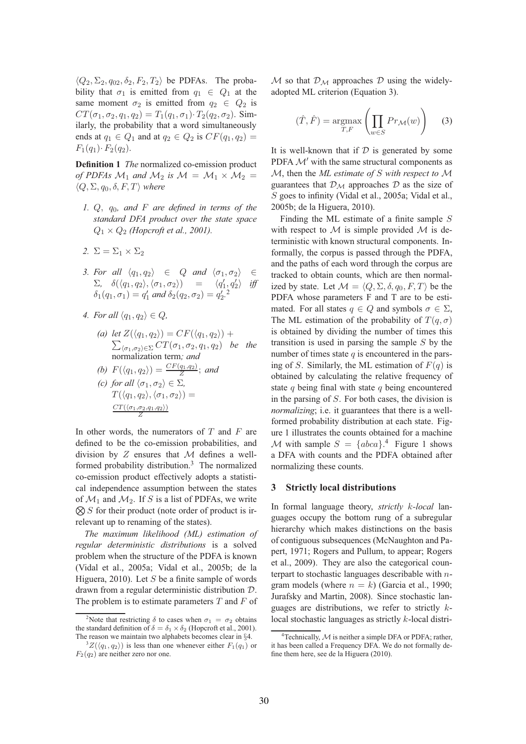$\langle Q_2, \Sigma_2, q_{02}, \delta_2, F_2, T_2 \rangle$  be PDFAs. The probability that  $\sigma_1$  is emitted from  $q_1 \in Q_1$  at the same moment  $\sigma_2$  is emitted from  $q_2 \in Q_2$  is  $CT(\sigma_1, \sigma_2, q_1, q_2) = T_1(q_1, \sigma_1) \cdot T_2(q_2, \sigma_2)$ . Similarly, the probability that a word simultaneously ends at  $q_1 \in Q_1$  and at  $q_2 \in Q_2$  is  $CF(q_1, q_2)$  =  $F_1(q_1) \cdot F_2(q_2)$ .

**Definition 1** *The* normalized co-emission product *of PDFAs*  $M_1$  *and*  $M_2$  *is*  $M = M_1 \times M_2$  =  $\langle Q, \Sigma, q_0, \delta, F, T \rangle$  *where* 

- *1.* Q, q0*, and* F *are defined in terms of the standard DFA product over the state space*  $Q_1 \times Q_2$  *(Hopcroft et al., 2001).*
- 2.  $\Sigma = \Sigma_1 \times \Sigma_2$
- *3. For all*  $\langle q_1, q_2 \rangle \in Q$  *and*  $\langle \sigma_1, \sigma_2 \rangle \in \mathcal{Q}$  $\Sigma$ ,  $\delta(\langle q_1, q_2 \rangle, \langle \sigma_1, \sigma_2 \rangle)$  =  $\langle q'_1, q'_2 \rangle$ <br>  $\delta_1(q_1, \sigma_1) = q'_1$  and  $\delta_2(q_2, \sigma_2) = q'_2$ .<sup>2</sup> i *iff*
- *4. For all*  $\langle q_1, q_2 \rangle \in Q$ ,
	- (a) let  $Z(\langle q_1, q_2 \rangle) = CF(\langle q_1, q_2 \rangle) +$  $\sum_{\langle \sigma_1, \sigma_2 \rangle \in \Sigma} CT(\sigma_1, \sigma_2, q_1, q_2)$  *be the* normalization term*; and*
	- *(b)*  $F(\langle q_1, q_2 \rangle) = \frac{CF(q_1, q_2)}{Z}$ ; and

(c) for all 
$$
\langle \sigma_1, \sigma_2 \rangle \in \Sigma
$$
,  
\n
$$
T(\langle q_1, q_2 \rangle, \langle \sigma_1, \sigma_2 \rangle) = \frac{CT(\langle \sigma_1, \sigma_2, q_1, q_2 \rangle)}{Z}
$$

In other words, the numerators of  $T$  and  $F$  are defined to be the co-emission probabilities, and division by  $Z$  ensures that  $M$  defines a wellformed probability distribution.<sup>3</sup> The normalized co-emission product effectively adopts a statistical independence assumption between the states of  $\mathcal{M}_1$  and  $\mathcal{M}_2$ . If S is a list of PDFAs, we write  $\bigotimes S$  for their product (note order of product is irrelevant up to renaming of the states).

*The maximum likelihood (ML) estimation of regular deterministic distributions* is a solved problem when the structure of the PDFA is known (Vidal et al., 2005a; Vidal et al., 2005b; de la Higuera, 2010). Let  $S$  be a finite sample of words drawn from a regular deterministic distribution D. The problem is to estimate parameters  $T$  and  $F$  of

M so that  $\mathcal{D}_{\mathcal{M}}$  approaches  $\mathcal D$  using the widelyadopted ML criterion (Equation 3).

$$
(\hat{T}, \hat{F}) = \underset{T, F}{\text{argmax}} \left( \prod_{w \in S} Pr_{\mathcal{M}}(w) \right) \tag{3}
$$

It is well-known that if  $D$  is generated by some PDFA  $\mathcal{M}'$  with the same structural components as M, then the *ML estimate of* S *with respect to* M guarantees that  $\mathcal{D}_{\mathcal{M}}$  approaches  $\mathcal D$  as the size of S goes to infinity (Vidal et al., 2005a; Vidal et al., 2005b; de la Higuera, 2010).

Finding the ML estimate of a finite sample  $S$ with respect to  $\mathcal M$  is simple provided  $\mathcal M$  is deterministic with known structural components. Informally, the corpus is passed through the PDFA, and the paths of each word through the corpus are tracked to obtain counts, which are then normalized by state. Let  $\mathcal{M} = \langle Q, \Sigma, \delta, q_0, F, T \rangle$  be the PDFA whose parameters F and T are to be estimated. For all states  $q \in Q$  and symbols  $\sigma \in \Sigma$ , The ML estimation of the probability of  $T(q, \sigma)$ is obtained by dividing the number of times this transition is used in parsing the sample  $S$  by the number of times state  $q$  is encountered in the parsing of S. Similarly, the ML estimation of  $F(q)$  is obtained by calculating the relative frequency of state  $q$  being final with state  $q$  being encountered in the parsing of S. For both cases, the division is *normalizing*; i.e. it guarantees that there is a wellformed probability distribution at each state. Figure 1 illustrates the counts obtained for a machine M with sample  $S = \{abcd\}$ <sup>4</sup> Figure 1 shows a DFA with counts and the PDFA obtained after normalizing these counts.

## **3 Strictly local distributions**

In formal language theory, *strictly* k*-local* languages occupy the bottom rung of a subregular hierarchy which makes distinctions on the basis of contiguous subsequences (McNaughton and Papert, 1971; Rogers and Pullum, to appear; Rogers et al., 2009). They are also the categorical counterpart to stochastic languages describable with ngram models (where  $n = k$ ) (Garcia et al., 1990; Jurafsky and Martin, 2008). Since stochastic languages are distributions, we refer to strictly  $k$ local stochastic languages as strictly k-local distri-

<sup>&</sup>lt;sup>2</sup>Note that restricting  $\delta$  to cases when  $\sigma_1 = \sigma_2$  obtains the standard definition of  $\delta = \delta_1 \times \delta_2$  (Hopcroft et al., 2001). The reason we maintain two alphabets becomes clear in §4.

 ${}^3Z(\langle q_1, q_2 \rangle)$  is less than one whenever either  $F_1(q_1)$  or  $F_2(q_2)$  are neither zero nor one.

<sup>&</sup>lt;sup>4</sup>Technically,  $M$  is neither a simple DFA or PDFA; rather, it has been called a Frequency DFA. We do not formally define them here, see de la Higuera (2010).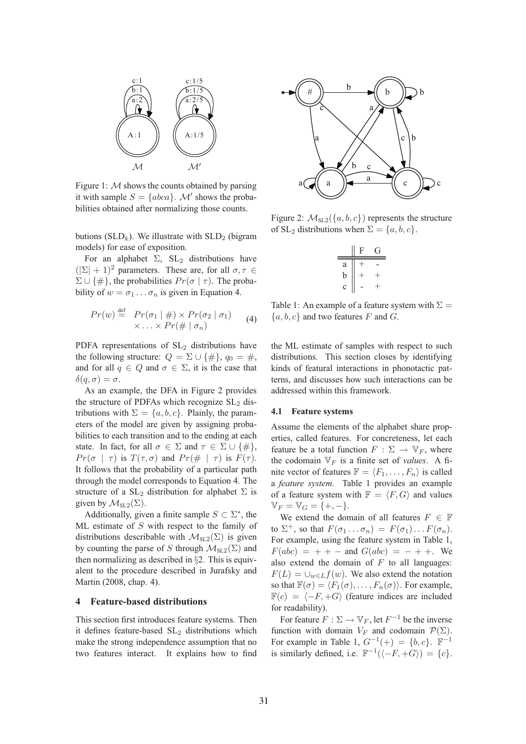

Figure 1:  $M$  shows the counts obtained by parsing it with sample  $S = \{abca\}$ . M' shows the probabilities obtained after normalizing those counts.

butions ( $SLD_k$ ). We illustrate with  $SLD_2$  (bigram models) for ease of exposition.

For an alphabet  $\Sigma$ ,  $SL_2$  distributions have  $(|\Sigma| + 1)^2$  parameters. These are, for all  $\sigma, \tau \in$  $\Sigma \cup {\{\#\}}$ , the probabilities  $Pr(\sigma | \tau)$ . The probability of  $w = \sigma_1 \dots \sigma_n$  is given in Equation 4.

$$
Pr(w) \stackrel{\text{def}}{=} Pr(\sigma_1 \mid \#) \times Pr(\sigma_2 \mid \sigma_1) \qquad (4)
$$
  
 
$$
\times \ldots \times Pr(\# \mid \sigma_n)
$$

PDFA representations of  $SL<sub>2</sub>$  distributions have the following structure:  $Q = \Sigma \cup \{\#\}, q_0 = \#$ , and for all  $q \in Q$  and  $\sigma \in \Sigma$ , it is the case that  $\delta(q,\sigma)=\sigma.$ 

As an example, the DFA in Figure 2 provides the structure of PDFAs which recognize  $SL<sub>2</sub>$  distributions with  $\Sigma = \{a, b, c\}$ . Plainly, the parameters of the model are given by assigning probabilities to each transition and to the ending at each state. In fact, for all  $\sigma \in \Sigma$  and  $\tau \in \Sigma \cup \{\#\},\$  $Pr(\sigma | \tau)$  is  $T(\tau, \sigma)$  and  $Pr(\# | \tau)$  is  $F(\tau)$ . It follows that the probability of a particular path through the model corresponds to Equation 4. The structure of a  $SL_2$  distribution for alphabet  $\Sigma$  is given by  $\mathcal{M}_{\text{SL}2}(\Sigma)$ .

Additionally, given a finite sample  $S \subset \Sigma^*$ , the ML estimate of  $S$  with respect to the family of distributions describable with  $\mathcal{M}_{\text{SL}2}(\Sigma)$  is given by counting the parse of S through  $\mathcal{M}_{SL2}(\Sigma)$  and then normalizing as described in §2. This is equivalent to the procedure described in Jurafsky and Martin (2008, chap. 4).

#### **4 Feature-based distributions**

This section first introduces feature systems. Then it defines feature-based  $SL<sub>2</sub>$  distributions which make the strong independence assumption that no two features interact. It explains how to find



Figure 2:  $\mathcal{M}_{\text{SL2}}(\{a, b, c\})$  represents the structure of SL<sub>2</sub> distributions when  $\Sigma = \{a, b, c\}.$ 

|   | F    | ſì.    |
|---|------|--------|
| a | $^+$ |        |
| b | $^+$ | $^{+}$ |
| c |      | +      |

Table 1: An example of a feature system with  $\Sigma =$  ${a, b, c}$  and two features F and G.

the ML estimate of samples with respect to such distributions. This section closes by identifying kinds of featural interactions in phonotactic patterns, and discusses how such interactions can be addressed within this framework.

### **4.1 Feature systems**

Assume the elements of the alphabet share properties, called features. For concreteness, let each feature be a total function  $F : \Sigma \to \mathbb{V}_F$ , where the codomain  $V_F$  is a finite set of *values*. A finite vector of features  $\mathbb{F} = \langle F_1, \ldots, F_n \rangle$  is called a *feature system*. Table 1 provides an example of a feature system with  $\mathbb{F} = \langle F, G \rangle$  and values  $V_F = V_G = \{+, -\}.$ 

We extend the domain of all features  $F \in \mathbb{F}$ to  $\Sigma^+$ , so that  $F(\sigma_1 \dots \sigma_n) = F(\sigma_1) \dots F(\sigma_n)$ . For example, using the feature system in Table 1,  $F(abc) = + -$  and  $G(abc) = - + +$ . We also extend the domain of  $F$  to all languages:  $F(L) = \bigcup_{w \in L} f(w)$ . We also extend the notation so that  $\mathbb{F}(\sigma) = \langle F_1(\sigma), \ldots, F_n(\sigma) \rangle$ . For example,  $\mathbb{F}(c) = \langle -F, +G \rangle$  (feature indices are included for readability).

For feature  $F : \Sigma \to \mathbb{V}_F$ , let  $F^{-1}$  be the inverse function with domain  $V_F$  and codomain  $\mathcal{P}(\Sigma)$ . For example in Table 1,  $G^{-1}(+) = \{b, c\}$ .  $\mathbb{F}^{-1}$ is similarly defined, i.e.  $\mathbb{F}^{-1}(\langle -F, +G \rangle) = \{c\}.$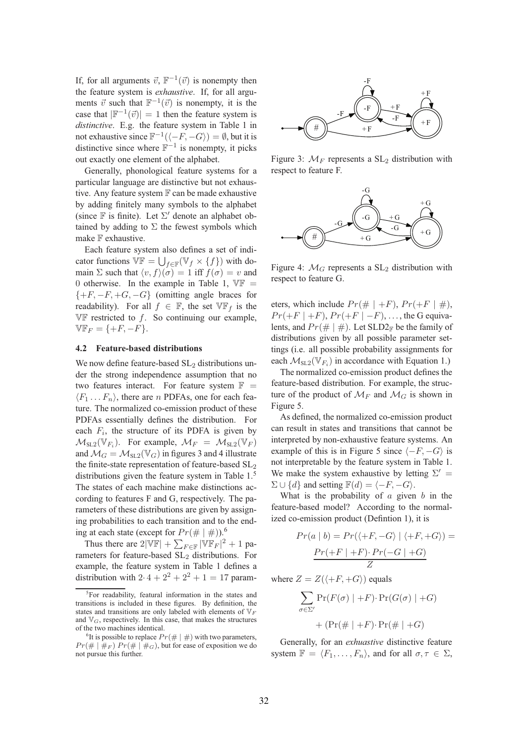If, for all arguments  $\vec{v}$ ,  $\mathbb{F}^{-1}(\vec{v})$  is nonempty then the feature system is *exhaustive*. If, for all arguments  $\vec{v}$  such that  $\mathbb{F}^{-1}(\vec{v})$  is nonempty, it is the case that  $|\mathbb{F}^{-1}(\vec{v})| = 1$  then the feature system is *distinctive*. E.g. the feature system in Table 1 in not exhaustive since  $\mathbb{F}^{-1}(\langle -F, -G \rangle) = \emptyset$ , but it is distinctive since where  $\mathbb{F}^{-1}$  is nonempty, it picks out exactly one element of the alphabet.

Generally, phonological feature systems for a particular language are distinctive but not exhaustive. Any feature system  $\mathbb F$  can be made exhaustive by adding finitely many symbols to the alphabet (since  $\mathbb F$  is finite). Let  $\Sigma'$  denote an alphabet obtained by adding to  $\Sigma$  the fewest symbols which make F exhaustive.

Each feature system also defines a set of indicator functions  $\mathbb{VF} = \bigcup_{f \in \mathbb{F}} (\mathbb{V}_f \times \{f\})$  with domain  $\Sigma$  such that  $\langle v, f \rangle(\sigma) = 1$  iff  $f(\sigma) = v$  and 0 otherwise. In the example in Table 1,  $\nabla \mathbb{F}$  =  $\{+F, -F, +G, -G\}$  (omitting angle braces for readability). For all  $f \in \mathbb{F}$ , the set  $\nabla \mathbb{F}_f$  is the  $V\mathbb{F}$  restricted to f. So continuing our example,  $\mathbb{VF}_F = \{+F, -F\}.$ 

## **4.2 Feature-based distributions**

We now define feature-based  $SL<sub>2</sub>$  distributions under the strong independence assumption that no two features interact. For feature system  $\mathbb{F}$  =  $\langle F_1 \dots F_n \rangle$ , there are n PDFAs, one for each feature. The normalized co-emission product of these PDFAs essentially defines the distribution. For each  $F_i$ , the structure of its PDFA is given by  $\mathcal{M}_{\text{SL2}}(\mathbb{V}_{F_i})$ . For example,  $\mathcal{M}_F = \mathcal{M}_{\text{SL2}}(\mathbb{V}_F)$ and  $\mathcal{M}_G = \mathcal{M}_{SL2}(\mathbb{V}_G)$  in figures 3 and 4 illustrate the finite-state representation of feature-based  $SL<sub>2</sub>$ distributions given the feature system in Table 1.<sup>5</sup> The states of each machine make distinctions according to features F and G, respectively. The parameters of these distributions are given by assigning probabilities to each transition and to the ending at each state (except for  $Pr(\# | \#))$ .<sup>6</sup>

Thus there are  $2|\mathbb{VF}| + \sum_{F \in \mathbb{F}} |\mathbb{VF}|^2 + 1$  parameters for feature-based SL<sub>2</sub> distributions. For example, the feature system in Table 1 defines a distribution with  $2 \cdot 4 + 2^2 + 2^2 + 1 = 17$  param-



Figure 3:  $M_F$  represents a  $SL_2$  distribution with respect to feature F.



Figure 4:  $M<sub>G</sub>$  represents a SL<sub>2</sub> distribution with respect to feature G.

eters, which include  $Pr(\# | +F)$ ,  $Pr(+F | #)$ ,  $Pr(+F | + F), Pr(+F | - F), \ldots$ , the G equivalents, and  $Pr(\# | \#)$ . Let SLD2<sub>F</sub> be the family of distributions given by all possible parameter settings (i.e. all possible probability assignments for each  $\mathcal{M}_{\text{SL2}}(\mathbb{V}_{F_i})$  in accordance with Equation 1.)

The normalized co-emission product defines the feature-based distribution. For example, the structure of the product of  $\mathcal{M}_F$  and  $\mathcal{M}_G$  is shown in Figure 5.

As defined, the normalized co-emission product can result in states and transitions that cannot be interpreted by non-exhaustive feature systems. An example of this is in Figure 5 since  $\langle -F, -G \rangle$  is not interpretable by the feature system in Table 1. We make the system exhaustive by letting  $\Sigma'$  =  $\Sigma \cup \{d\}$  and setting  $\mathbb{F}(d) = \langle -F, -G \rangle$ .

What is the probability of  $a$  given  $b$  in the feature-based model? According to the normalized co-emission product (Defintion 1), it is

$$
Pr(a | b) = Pr(\langle +F, -G \rangle | \langle +F, +G \rangle) =
$$

$$
\frac{Pr(+F | +F) \cdot Pr(-G | +G)}{Z}
$$

where  $Z = Z(\langle +F, +G \rangle)$  equals

$$
\sum_{\sigma \in \Sigma'} \Pr(F(\sigma) \mid +F) \cdot \Pr(G(\sigma) \mid +G)
$$

$$
+ (\Pr(\# \mid +F) \cdot \Pr(\# \mid +G)
$$

Generally, for an *exhuastive* distinctive feature system  $\mathbb{F} = \langle F_1, \ldots, F_n \rangle$ , and for all  $\sigma, \tau \in \Sigma$ ,

<sup>&</sup>lt;sup>5</sup>For readability, featural information in the states and transitions is included in these figures. By definition, the states and transitions are only labeled with elements of  $V_F$ and  $\mathbb{V}_G$ , respectively. In this case, that makes the structures of the two machines identical.

<sup>&</sup>lt;sup>6</sup>It is possible to replace  $Pr(\# | \#)$  with two parameters,  $Pr(\# | \#_F) Pr(\# | \#_G)$ , but for ease of exposition we do not pursue this further.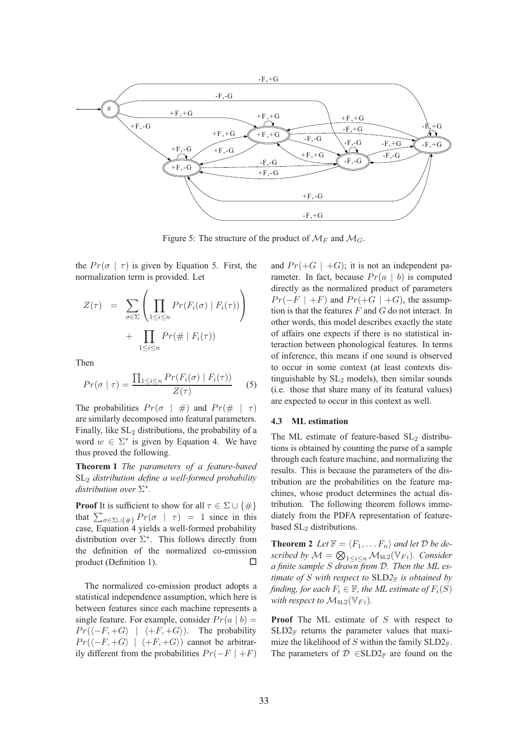

Figure 5: The structure of the product of  $\mathcal{M}_F$  and  $\mathcal{M}_G$ .

the  $Pr(\sigma | \tau)$  is given by Equation 5. First, the normalization term is provided. Let

$$
Z(\tau) = \sum_{\sigma \in \Sigma} \left( \prod_{1 \leq i \leq n} Pr(F_i(\sigma) \mid F_i(\tau)) \right) + \prod_{1 \leq i \leq n} Pr(\# \mid F_i(\tau))
$$

Then

$$
Pr(\sigma \mid \tau) = \frac{\prod_{1 \le i \le n} Pr(F_i(\sigma) \mid F_i(\tau))}{Z(\tau)}
$$
 (5)

The probabilities  $Pr(\sigma | #)$  and  $Pr(\# | \tau)$ are similarly decomposed into featural parameters. Finally, like  $SL_2$  distributions, the probability of a word  $w \in \Sigma^*$  is given by Equation 4. We have thus proved the following.

**Theorem 1** *The parameters of a feature-based* SL<sup>2</sup> *distribution define a well-formed probability distribution over* Σ ∗ *.*

**Proof** It is sufficient to show for all  $\tau \in \Sigma \cup \{\#\}$ that  $\sum_{\sigma \in \Sigma \cup \{\#\}} Pr(\sigma \mid \tau) = 1$  since in this case, Equation 4 yields a well-formed probability distribution over  $\Sigma^*$ . This follows directly from the definition of the normalized co-emission product (Definition 1).

The normalized co-emission product adopts a statistical independence assumption, which here is between features since each machine represents a single feature. For example, consider  $Pr(a | b)$  =  $Pr(\langle -F, +G \rangle \mid \langle +F, +G \rangle)$ . The probability  $Pr(\langle -F, +G \rangle \mid \langle +F, +G \rangle)$  cannot be arbitrarily different from the probabilities  $Pr(-F \mid +F)$  and  $Pr(+G \mid +G)$ ; it is not an independent parameter. In fact, because  $Pr(a | b)$  is computed directly as the normalized product of parameters  $Pr(-F \mid +F)$  and  $Pr(+G \mid +G)$ , the assumption is that the features  $F$  and  $G$  do not interact. In other words, this model describes exactly the state of affairs one expects if there is no statistical interaction between phonological features. In terms of inference, this means if one sound is observed to occur in some context (at least contexts distinguishable by  $SL_2$  models), then similar sounds (i.e. those that share many of its featural values) are expected to occur in this context as well.

#### **4.3 ML estimation**

The ML estimate of feature-based  $SL_2$  distributions is obtained by counting the parse of a sample through each feature machine, and normalizing the results. This is because the parameters of the distribution are the probabilities on the feature machines, whose product determines the actual distribution. The following theorem follows immediately from the PDFA representation of featurebased SL<sub>2</sub> distributions.

**Theorem 2** *Let*  $\mathbb{F} = \langle F_1, \ldots F_n \rangle$  *and let*  $\mathcal{D}$  *be described by*  $\mathcal{M} = \bigotimes_{1 \leq i \leq n} \mathcal{M}_{\text{SL2}}(\mathbb{V}_{Fi})$ *. Consider a finite sample* S *drawn from* D*. Then the ML estimate of* S with respect to  $SLD2_F$  *is obtained by finding, for each*  $F_i \in \mathbb{F}$ *, the ML estimate of*  $F_i(S)$ *with respect to*  $M_{SL2}(\mathbb{V}_{Fi})$ *.* 

**Proof** The ML estimate of S with respect to  $SLD2<sub>F</sub>$  returns the parameter values that maximize the likelihood of S within the family  $SLD2_F$ . The parameters of  $D \in SLD2_{\mathbb{F}}$  are found on the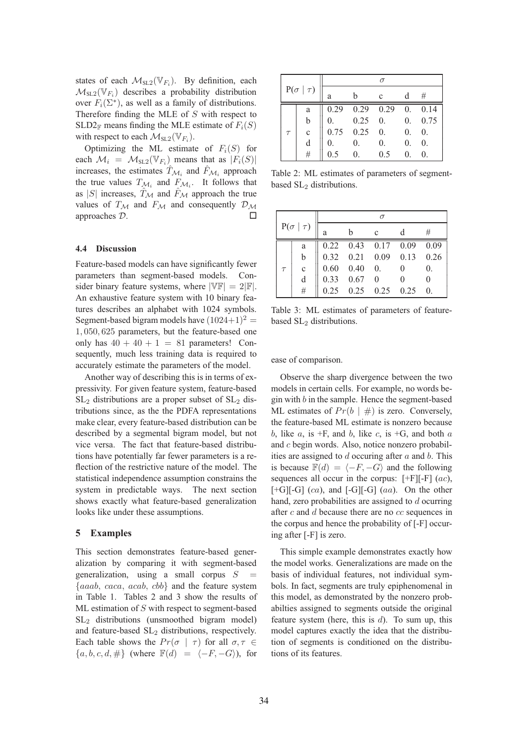states of each  $\mathcal{M}_{\text{SL2}}(\mathbb{V}_{F_i})$ . By definition, each  $\mathcal{M}_{\text{SL2}}(\mathbb{V}_{F_i})$  describes a probability distribution over  $F_i(\Sigma^*)$ , as well as a family of distributions. Therefore finding the MLE of S with respect to  $SLD2<sub>F</sub>$  means finding the MLE estimate of  $F_i(S)$ with respect to each  $\mathcal{M}_{\text{SL2}}(\mathbb{V}_{F_i})$ .

Optimizing the ML estimate of  $F_i(S)$  for each  $\mathcal{M}_i = \mathcal{M}_{\text{SL2}}(\mathbb{V}_{F_i})$  means that as  $|F_i(S)|$ increases, the estimates  $\hat{T}_{\mathcal{M}_i}$  and  $\hat{F}_{\mathcal{M}_i}$  approach the true values  $T_{\mathcal{M}_i}$  and  $F_{\mathcal{M}_i}$ . It follows that as  $|S|$  increases,  $T_{\mathcal{M}}$  and  $F_{\mathcal{M}}$  approach the true values of  $T_M$  and  $F_M$  and consequently  $\mathcal{D}_M$ approaches D.

## **4.4 Discussion**

Feature-based models can have significantly fewer parameters than segment-based models. Consider binary feature systems, where  $|\Psi F| = 2|\mathbb{F}|$ . An exhaustive feature system with 10 binary features describes an alphabet with 1024 symbols. Segment-based bigram models have  $(1024+1)^2$  = 1, 050, 625 parameters, but the feature-based one only has  $40 + 40 + 1 = 81$  parameters! Consequently, much less training data is required to accurately estimate the parameters of the model.

Another way of describing this is in terms of expressivity. For given feature system, feature-based  $SL<sub>2</sub>$  distributions are a proper subset of  $SL<sub>2</sub>$  distributions since, as the the PDFA representations make clear, every feature-based distribution can be described by a segmental bigram model, but not vice versa. The fact that feature-based distributions have potentially far fewer parameters is a reflection of the restrictive nature of the model. The statistical independence assumption constrains the system in predictable ways. The next section shows exactly what feature-based generalization looks like under these assumptions.

### **5 Examples**

This section demonstrates feature-based generalization by comparing it with segment-based generalization, using a small corpus  $S =$  ${faaab, caca, acab, cbb}$  and the feature system in Table 1. Tables 2 and 3 show the results of  $ML$  estimation of  $S$  with respect to segment-based SL<sup>2</sup> distributions (unsmoothed bigram model) and feature-based  $SL<sub>2</sub>$  distributions, respectively. Each table shows the  $Pr(\sigma | \tau)$  for all  $\sigma, \tau \in$  ${a, b, c, d, \#}$  (where  $\mathbb{F}(d) = \langle -F, -G \rangle$ ), for

| $P(\sigma   \tau)$ |             |            |                  |                                |            |            |
|--------------------|-------------|------------|------------------|--------------------------------|------------|------------|
|                    |             | a          |                  | $\mathbf{c}$                   |            | #          |
|                    | a           |            |                  | $0.29$ $0.29$ $0.29$ 0. $0.14$ |            |            |
|                    | $\mathbf b$ | $\theta$ . | $0.25 \quad 0.$  |                                |            | 0. 0.75    |
| $\tau$             | $\mathbf c$ |            | $0.75$ $0.25$ 0. |                                | 0.         | $\theta$ . |
|                    | d           |            | $\Omega$ .       | $\overline{0}$ .               | $\theta$ . | $\theta$ . |
|                    |             |            |                  | 0.5                            | 0          |            |

Table 2: ML estimates of parameters of segmentbased SL<sub>2</sub> distributions.

| $P(\sigma   \tau)$ |              |   |                     |              |                              |            |
|--------------------|--------------|---|---------------------|--------------|------------------------------|------------|
|                    |              | a | h                   | $\mathbf{C}$ |                              | #          |
|                    | a            |   |                     |              | 0.22 0.43 0.17 0.09 0.09     |            |
|                    | b            |   |                     |              | 0.32  0.21  0.09  0.13  0.26 |            |
| $\tau$             | $\mathbf{C}$ |   | $0.60$ $0.40$ 0.    |              | $\overline{0}$               | $\Omega$ . |
|                    | d            |   | $0.33 \t 0.67 \t 0$ |              | 0                            | 0          |
|                    | #            |   |                     |              | $0.25$ 0.25 0.25 0.25        |            |

Table 3: ML estimates of parameters of featurebased SL<sub>2</sub> distributions.

ease of comparison.

Observe the sharp divergence between the two models in certain cells. For example, no words begin with  $b$  in the sample. Hence the segment-based ML estimates of  $Pr(b \mid \#)$  is zero. Conversely, the feature-based ML estimate is nonzero because b, like  $a$ , is +F, and  $b$ , like  $c$ , is +G, and both  $a$ and c begin words. Also, notice nonzero probabilities are assigned to  $d$  occuring after  $a$  and  $b$ . This is because  $\mathbb{F}(d) = \langle -F, -G \rangle$  and the following sequences all occur in the corpus:  $[+F][-F]$  (ac),  $[-G]$ [-G] (ca), and  $[-G]$ [-G] (aa). On the other hand, zero probabilities are assigned to d ocurring after c and d because there are no cc sequences in the corpus and hence the probability of [-F] occuring after [-F] is zero.

This simple example demonstrates exactly how the model works. Generalizations are made on the basis of individual features, not individual symbols. In fact, segments are truly epiphenomenal in this model, as demonstrated by the nonzero probabilties assigned to segments outside the original feature system (here, this is  $d$ ). To sum up, this model captures exactly the idea that the distribution of segments is conditioned on the distributions of its features.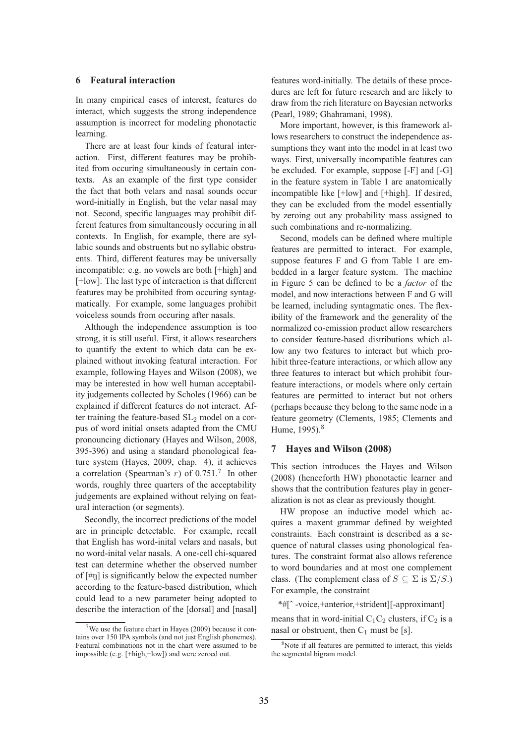#### **6 Featural interaction**

In many empirical cases of interest, features do interact, which suggests the strong independence assumption is incorrect for modeling phonotactic learning.

There are at least four kinds of featural interaction. First, different features may be prohibited from occuring simultaneously in certain contexts. As an example of the first type consider the fact that both velars and nasal sounds occur word-initially in English, but the velar nasal may not. Second, specific languages may prohibit different features from simultaneously occuring in all contexts. In English, for example, there are syllabic sounds and obstruents but no syllabic obstruents. Third, different features may be universally incompatible: e.g. no vowels are both [+high] and [+low]. The last type of interaction is that different features may be prohibited from occuring syntagmatically. For example, some languages prohibit voiceless sounds from occuring after nasals.

Although the independence assumption is too strong, it is still useful. First, it allows researchers to quantify the extent to which data can be explained without invoking featural interaction. For example, following Hayes and Wilson (2008), we may be interested in how well human acceptability judgements collected by Scholes (1966) can be explained if different features do not interact. After training the feature-based  $SL<sub>2</sub>$  model on a corpus of word initial onsets adapted from the CMU pronouncing dictionary (Hayes and Wilson, 2008, 395-396) and using a standard phonological feature system (Hayes, 2009, chap. 4), it achieves a correlation (Spearman's  $r$ ) of 0.751.<sup>7</sup> In other words, roughly three quarters of the acceptability judgements are explained without relying on featural interaction (or segments).

Secondly, the incorrect predictions of the model are in principle detectable. For example, recall that English has word-inital velars and nasals, but no word-inital velar nasals. A one-cell chi-squared test can determine whether the observed number of  $[\#n]$  is significantly below the expected number according to the feature-based distribution, which could lead to a new parameter being adopted to describe the interaction of the [dorsal] and [nasal]

features word-initially. The details of these procedures are left for future research and are likely to draw from the rich literature on Bayesian networks (Pearl, 1989; Ghahramani, 1998).

More important, however, is this framework allows researchers to construct the independence assumptions they want into the model in at least two ways. First, universally incompatible features can be excluded. For example, suppose [-F] and [-G] in the feature system in Table 1 are anatomically incompatible like [+low] and [+high]. If desired, they can be excluded from the model essentially by zeroing out any probability mass assigned to such combinations and re-normalizing.

Second, models can be defined where multiple features are permitted to interact. For example, suppose features F and G from Table 1 are embedded in a larger feature system. The machine in Figure 5 can be defined to be a *factor* of the model, and now interactions between F and G will be learned, including syntagmatic ones. The flexibility of the framework and the generality of the normalized co-emission product allow researchers to consider feature-based distributions which allow any two features to interact but which prohibit three-feature interactions, or which allow any three features to interact but which prohibit fourfeature interactions, or models where only certain features are permitted to interact but not others (perhaps because they belong to the same node in a feature geometry (Clements, 1985; Clements and Hume, 1995).<sup>8</sup>

## **7 Hayes and Wilson (2008)**

This section introduces the Hayes and Wilson (2008) (henceforth HW) phonotactic learner and shows that the contribution features play in generalization is not as clear as previously thought.

HW propose an inductive model which acquires a maxent grammar defined by weighted constraints. Each constraint is described as a sequence of natural classes using phonological features. The constraint format also allows reference to word boundaries and at most one complement class. (The complement class of  $S \subseteq \Sigma$  is  $\Sigma/S$ .) For example, the constraint

\*#[ˆ -voice,+anterior,+strident][-approximant] means that in word-initial  $C_1C_2$  clusters, if  $C_2$  is a nasal or obstruent, then  $C_1$  must be [s].

<sup>7</sup>We use the feature chart in Hayes (2009) because it contains over 150 IPA symbols (and not just English phonemes). Featural combinations not in the chart were assumed to be impossible (e.g. [+high,+low]) and were zeroed out.

<sup>&</sup>lt;sup>8</sup>Note if all features are permitted to interact, this yields the segmental bigram model.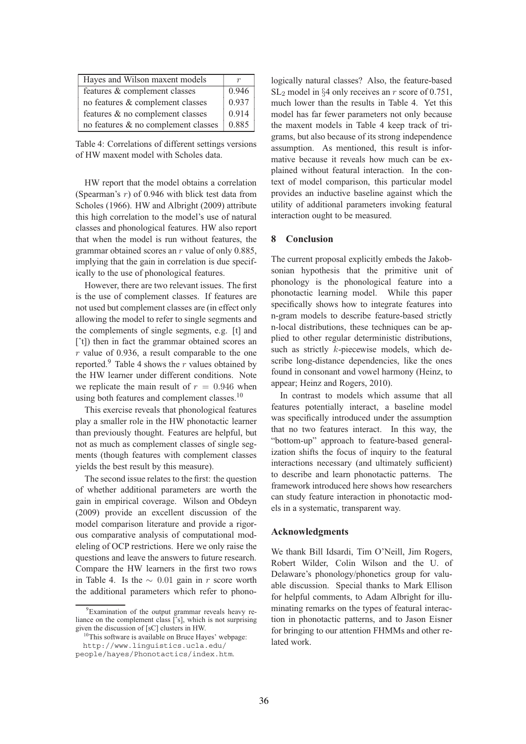| Hayes and Wilson maxent models      |       |
|-------------------------------------|-------|
| features & complement classes       | 0.946 |
| no features & complement classes    | 0.937 |
| features & no complement classes    | 0.914 |
| no features & no complement classes | 0.885 |

Table 4: Correlations of different settings versions of HW maxent model with Scholes data.

HW report that the model obtains a correlation (Spearman's  $r$ ) of 0.946 with blick test data from Scholes (1966). HW and Albright (2009) attribute this high correlation to the model's use of natural classes and phonological features. HW also report that when the model is run without features, the grammar obtained scores an r value of only 0.885, implying that the gain in correlation is due specifically to the use of phonological features.

However, there are two relevant issues. The first is the use of complement classes. If features are not used but complement classes are (in effect only allowing the model to refer to single segments and the complements of single segments, e.g. [t] and [^t]) then in fact the grammar obtained scores an  $r$  value of 0.936, a result comparable to the one reported.<sup>9</sup> Table 4 shows the  $r$  values obtained by the HW learner under different conditions. Note we replicate the main result of  $r = 0.946$  when using both features and complement classes.<sup>10</sup>

This exercise reveals that phonological features play a smaller role in the HW phonotactic learner than previously thought. Features are helpful, but not as much as complement classes of single segments (though features with complement classes yields the best result by this measure).

The second issue relates to the first: the question of whether additional parameters are worth the gain in empirical coverage. Wilson and Obdeyn (2009) provide an excellent discussion of the model comparison literature and provide a rigorous comparative analysis of computational modeleling of OCP restrictions. Here we only raise the questions and leave the answers to future research. Compare the HW learners in the first two rows in Table 4. Is the  $\sim$  0.01 gain in r score worth the additional parameters which refer to phono-

logically natural classes? Also, the feature-based  $SL_2$  model in §4 only receives an r score of 0.751, much lower than the results in Table 4. Yet this model has far fewer parameters not only because the maxent models in Table 4 keep track of trigrams, but also because of its strong independence assumption. As mentioned, this result is informative because it reveals how much can be explained without featural interaction. In the context of model comparison, this particular model provides an inductive baseline against which the utility of additional parameters invoking featural interaction ought to be measured.

### **8 Conclusion**

The current proposal explicitly embeds the Jakobsonian hypothesis that the primitive unit of phonology is the phonological feature into a phonotactic learning model. While this paper specifically shows how to integrate features into n-gram models to describe feature-based strictly n-local distributions, these techniques can be applied to other regular deterministic distributions, such as strictly k-piecewise models, which describe long-distance dependencies, like the ones found in consonant and vowel harmony (Heinz, to appear; Heinz and Rogers, 2010).

In contrast to models which assume that all features potentially interact, a baseline model was specifically introduced under the assumption that no two features interact. In this way, the "bottom-up" approach to feature-based generalization shifts the focus of inquiry to the featural interactions necessary (and ultimately sufficient) to describe and learn phonotactic patterns. The framework introduced here shows how researchers can study feature interaction in phonotactic models in a systematic, transparent way.

## **Acknowledgments**

We thank Bill Idsardi, Tim O'Neill, Jim Rogers, Robert Wilder, Colin Wilson and the U. of Delaware's phonology/phonetics group for valuable discussion. Special thanks to Mark Ellison for helpful comments, to Adam Albright for illuminating remarks on the types of featural interaction in phonotactic patterns, and to Jason Eisner for bringing to our attention FHMMs and other related work.

<sup>9</sup>Examination of the output grammar reveals heavy reliance on the complement class [ˆs], which is not surprising given the discussion of [sC] clusters in HW.

<sup>&</sup>lt;sup>10</sup>This software is available on Bruce Hayes' webpage: http://www.linguistics.ucla.edu/

people/hayes/Phonotactics/index.htm.